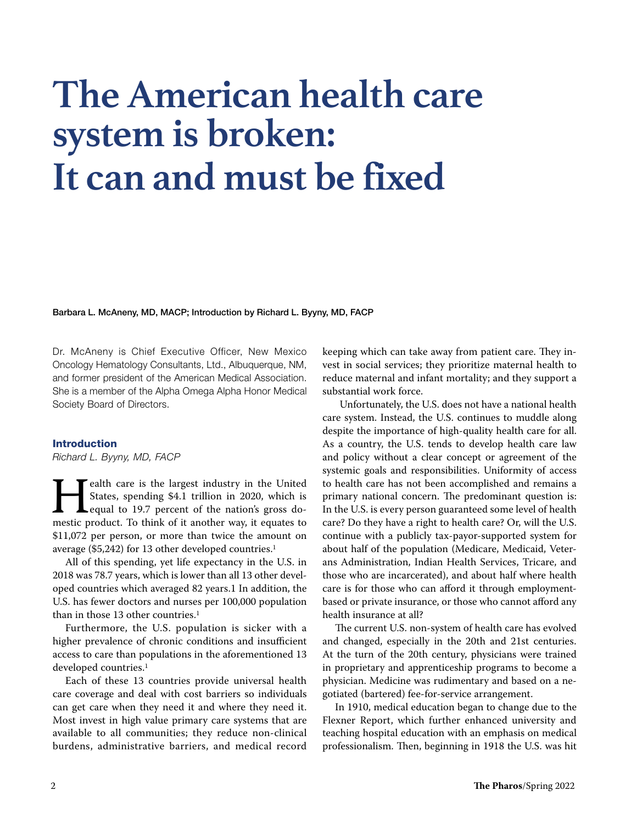# **The American health care system is broken: It can and must be fixed**

Barbara L. McAneny, MD, MACP; Introduction by Richard L. Byyny, MD, FACP

Dr. McAneny is Chief Executive Officer, New Mexico Oncology Hematology Consultants, Ltd., Albuquerque, NM, and former president of the American Medical Association. She is a member of the Alpha Omega Alpha Honor Medical Society Board of Directors.

### Introduction

Richard L. Byyny, MD, FACP

**Hermannel States**, spending \$4.1 trillion in 2020, which is equal to 19.7 percent of the nation's gross domestic product. To think of it another way, it equates to ealth care is the largest industry in the United States, spending \$4.1 trillion in 2020, which is equal to 19.7 percent of the nation's gross do-\$11,072 per person, or more than twice the amount on average (\$5,242) for 13 other developed countries.<sup>1</sup>

All of this spending, yet life expectancy in the U.S. in 2018 was 78.7 years, which is lower than all 13 other developed countries which averaged 82 years.1 In addition, the U.S. has fewer doctors and nurses per 100,000 population than in those 13 other countries.<sup>1</sup>

Furthermore, the U.S. population is sicker with a higher prevalence of chronic conditions and insufficient access to care than populations in the aforementioned 13 developed countries.<sup>1</sup>

Each of these 13 countries provide universal health care coverage and deal with cost barriers so individuals can get care when they need it and where they need it. Most invest in high value primary care systems that are available to all communities; they reduce non-clinical burdens, administrative barriers, and medical record keeping which can take away from patient care. They invest in social services; they prioritize maternal health to reduce maternal and infant mortality; and they support a substantial work force.

 Unfortunately, the U.S. does not have a national health care system. Instead, the U.S. continues to muddle along despite the importance of high-quality health care for all. As a country, the U.S. tends to develop health care law and policy without a clear concept or agreement of the systemic goals and responsibilities. Uniformity of access to health care has not been accomplished and remains a primary national concern. The predominant question is: In the U.S. is every person guaranteed some level of health care? Do they have a right to health care? Or, will the U.S. continue with a publicly tax-payor-supported system for about half of the population (Medicare, Medicaid, Veterans Administration, Indian Health Services, Tricare, and those who are incarcerated), and about half where health care is for those who can afford it through employmentbased or private insurance, or those who cannot afford any health insurance at all?

The current U.S. non-system of health care has evolved and changed, especially in the 20th and 21st centuries. At the turn of the 20th century, physicians were trained in proprietary and apprenticeship programs to become a physician. Medicine was rudimentary and based on a negotiated (bartered) fee-for-service arrangement.

In 1910, medical education began to change due to the Flexner Report, which further enhanced university and teaching hospital education with an emphasis on medical professionalism. Then, beginning in 1918 the U.S. was hit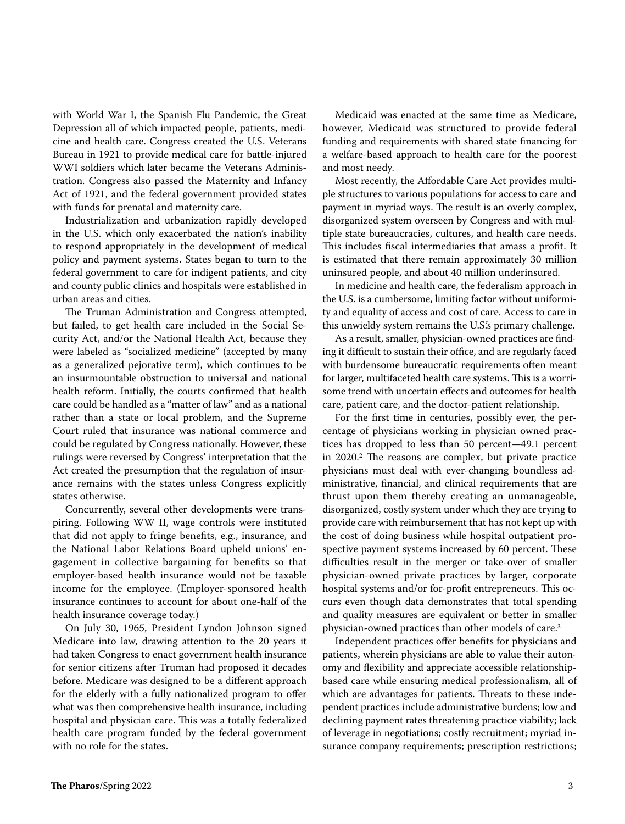with World War I, the Spanish Flu Pandemic, the Great Depression all of which impacted people, patients, medicine and health care. Congress created the U.S. Veterans Bureau in 1921 to provide medical care for battle-injured WWI soldiers which later became the Veterans Administration. Congress also passed the Maternity and Infancy Act of 1921, and the federal government provided states with funds for prenatal and maternity care.

Industrialization and urbanization rapidly developed in the U.S. which only exacerbated the nation's inability to respond appropriately in the development of medical policy and payment systems. States began to turn to the federal government to care for indigent patients, and city and county public clinics and hospitals were established in urban areas and cities.

The Truman Administration and Congress attempted, but failed, to get health care included in the Social Security Act, and/or the National Health Act, because they were labeled as "socialized medicine" (accepted by many as a generalized pejorative term), which continues to be an insurmountable obstruction to universal and national health reform. Initially, the courts confirmed that health care could be handled as a "matter of law" and as a national rather than a state or local problem, and the Supreme Court ruled that insurance was national commerce and could be regulated by Congress nationally. However, these rulings were reversed by Congress' interpretation that the Act created the presumption that the regulation of insurance remains with the states unless Congress explicitly states otherwise.

Concurrently, several other developments were transpiring. Following WW II, wage controls were instituted that did not apply to fringe benefits, e.g., insurance, and the National Labor Relations Board upheld unions' engagement in collective bargaining for benefits so that employer-based health insurance would not be taxable income for the employee. (Employer-sponsored health insurance continues to account for about one-half of the health insurance coverage today.)

On July 30, 1965, President Lyndon Johnson signed Medicare into law, drawing attention to the 20 years it had taken Congress to enact government health insurance for senior citizens after Truman had proposed it decades before. Medicare was designed to be a different approach for the elderly with a fully nationalized program to offer what was then comprehensive health insurance, including hospital and physician care. This was a totally federalized health care program funded by the federal government with no role for the states.

Medicaid was enacted at the same time as Medicare, however, Medicaid was structured to provide federal funding and requirements with shared state financing for a welfare-based approach to health care for the poorest and most needy.

Most recently, the Affordable Care Act provides multiple structures to various populations for access to care and payment in myriad ways. The result is an overly complex, disorganized system overseen by Congress and with multiple state bureaucracies, cultures, and health care needs. This includes fiscal intermediaries that amass a profit. It is estimated that there remain approximately 30 million uninsured people, and about 40 million underinsured.

In medicine and health care, the federalism approach in the U.S. is a cumbersome, limiting factor without uniformity and equality of access and cost of care. Access to care in this unwieldy system remains the U.S.'s primary challenge.

As a result, smaller, physician-owned practices are finding it difficult to sustain their office, and are regularly faced with burdensome bureaucratic requirements often meant for larger, multifaceted health care systems. This is a worrisome trend with uncertain effects and outcomes for health care, patient care, and the doctor-patient relationship.

For the first time in centuries, possibly ever, the percentage of physicians working in physician owned practices has dropped to less than 50 percent—49.1 percent in 2020.<sup>2</sup> The reasons are complex, but private practice physicians must deal with ever-changing boundless administrative, financial, and clinical requirements that are thrust upon them thereby creating an unmanageable, disorganized, costly system under which they are trying to provide care with reimbursement that has not kept up with the cost of doing business while hospital outpatient prospective payment systems increased by 60 percent. These difficulties result in the merger or take-over of smaller physician-owned private practices by larger, corporate hospital systems and/or for-profit entrepreneurs. This occurs even though data demonstrates that total spending and quality measures are equivalent or better in smaller physician-owned practices than other models of care.<sup>3</sup>

Independent practices offer benefits for physicians and patients, wherein physicians are able to value their autonomy and flexibility and appreciate accessible relationshipbased care while ensuring medical professionalism, all of which are advantages for patients. Threats to these independent practices include administrative burdens; low and declining payment rates threatening practice viability; lack of leverage in negotiations; costly recruitment; myriad insurance company requirements; prescription restrictions;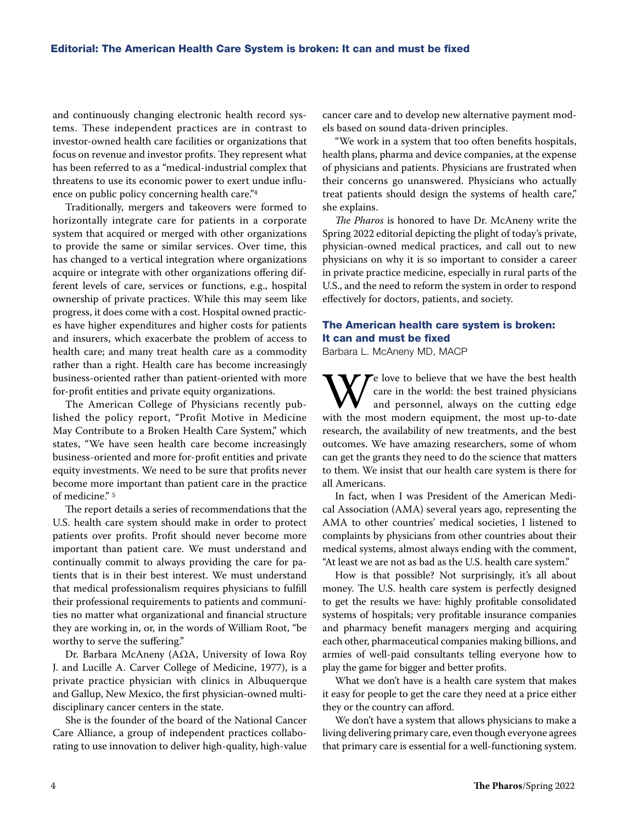and continuously changing electronic health record systems. These independent practices are in contrast to investor-owned health care facilities or organizations that focus on revenue and investor profits. They represent what has been referred to as a "medical-industrial complex that threatens to use its economic power to exert undue influence on public policy concerning health care."<sup>4</sup>

Traditionally, mergers and takeovers were formed to horizontally integrate care for patients in a corporate system that acquired or merged with other organizations to provide the same or similar services. Over time, this has changed to a vertical integration where organizations acquire or integrate with other organizations offering different levels of care, services or functions, e.g., hospital ownership of private practices. While this may seem like progress, it does come with a cost. Hospital owned practices have higher expenditures and higher costs for patients and insurers, which exacerbate the problem of access to health care; and many treat health care as a commodity rather than a right. Health care has become increasingly business-oriented rather than patient-oriented with more for-profit entities and private equity organizations.

The American College of Physicians recently published the policy report, "Profit Motive in Medicine May Contribute to a Broken Health Care System," which states, "We have seen health care become increasingly business-oriented and more for-profit entities and private equity investments. We need to be sure that profits never become more important than patient care in the practice of medicine." 5

The report details a series of recommendations that the U.S. health care system should make in order to protect patients over profits. Profit should never become more important than patient care. We must understand and continually commit to always providing the care for patients that is in their best interest. We must understand that medical professionalism requires physicians to fulfill their professional requirements to patients and communities no matter what organizational and financial structure they are working in, or, in the words of William Root, "be worthy to serve the suffering."

Dr. Barbara McAneny (AΩA, University of Iowa Roy J. and Lucille A. Carver College of Medicine, 1977), is a private practice physician with clinics in Albuquerque and Gallup, New Mexico, the first physician-owned multidisciplinary cancer centers in the state.

She is the founder of the board of the National Cancer Care Alliance, a group of independent practices collaborating to use innovation to deliver high-quality, high-value cancer care and to develop new alternative payment models based on sound data-driven principles.

"We work in a system that too often benefits hospitals, health plans, pharma and device companies, at the expense of physicians and patients. Physicians are frustrated when their concerns go unanswered. Physicians who actually treat patients should design the systems of health care," she explains.

The Pharos is honored to have Dr. McAneny write the Spring 2022 editorial depicting the plight of today's private, physician-owned medical practices, and call out to new physicians on why it is so important to consider a career in private practice medicine, especially in rural parts of the U.S., and the need to reform the system in order to respond effectively for doctors, patients, and society.

## The American health care system is broken: It can and must be fixed

Barbara L. McAneny MD, MACP

W e love to believe that we have the best health<br>care in the world: the best trained physicians<br>and personnel, always on the cutting edge<br>with the most modern equipment, the most up-to-date  $\blacktriangleright$  love to believe that we have the best health care in the world: the best trained physicians and personnel, always on the cutting edge research, the availability of new treatments, and the best outcomes. We have amazing researchers, some of whom can get the grants they need to do the science that matters to them. We insist that our health care system is there for all Americans.

In fact, when I was President of the American Medical Association (AMA) several years ago, representing the AMA to other countries' medical societies, I listened to complaints by physicians from other countries about their medical systems, almost always ending with the comment, "At least we are not as bad as the U.S. health care system."

How is that possible? Not surprisingly, it's all about money. The U.S. health care system is perfectly designed to get the results we have: highly profitable consolidated systems of hospitals; very profitable insurance companies and pharmacy benefit managers merging and acquiring each other, pharmaceutical companies making billions, and armies of well-paid consultants telling everyone how to play the game for bigger and better profits.

What we don't have is a health care system that makes it easy for people to get the care they need at a price either they or the country can afford.

We don't have a system that allows physicians to make a living delivering primary care, even though everyone agrees that primary care is essential for a well-functioning system.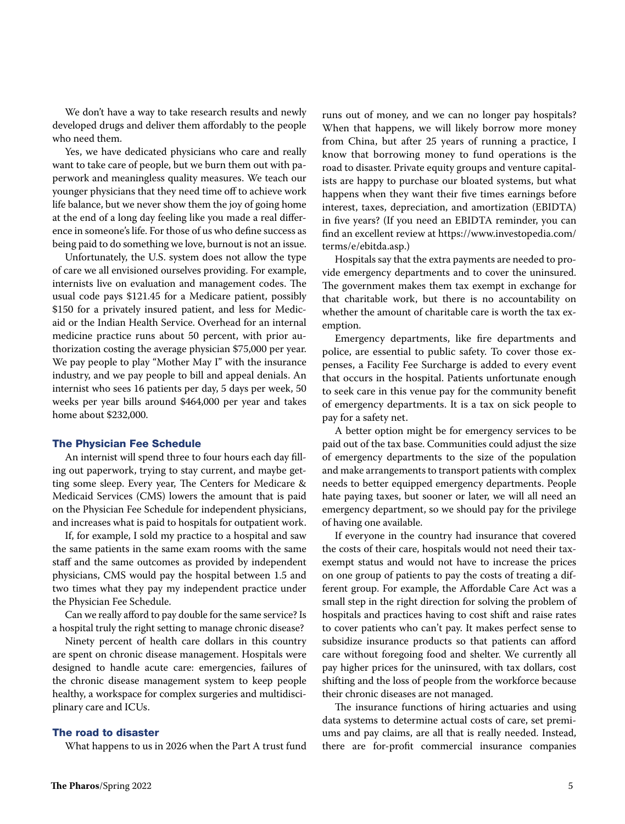We don't have a way to take research results and newly developed drugs and deliver them affordably to the people who need them.

Yes, we have dedicated physicians who care and really want to take care of people, but we burn them out with paperwork and meaningless quality measures. We teach our younger physicians that they need time off to achieve work life balance, but we never show them the joy of going home at the end of a long day feeling like you made a real difference in someone's life. For those of us who define success as being paid to do something we love, burnout is not an issue.

Unfortunately, the U.S. system does not allow the type of care we all envisioned ourselves providing. For example, internists live on evaluation and management codes. The usual code pays \$121.45 for a Medicare patient, possibly \$150 for a privately insured patient, and less for Medicaid or the Indian Health Service. Overhead for an internal medicine practice runs about 50 percent, with prior authorization costing the average physician \$75,000 per year. We pay people to play "Mother May I" with the insurance industry, and we pay people to bill and appeal denials. An internist who sees 16 patients per day, 5 days per week, 50 weeks per year bills around \$464,000 per year and takes home about \$232,000.

#### The Physician Fee Schedule

An internist will spend three to four hours each day filling out paperwork, trying to stay current, and maybe getting some sleep. Every year, The Centers for Medicare & Medicaid Services (CMS) lowers the amount that is paid on the Physician Fee Schedule for independent physicians, and increases what is paid to hospitals for outpatient work.

If, for example, I sold my practice to a hospital and saw the same patients in the same exam rooms with the same staff and the same outcomes as provided by independent physicians, CMS would pay the hospital between 1.5 and two times what they pay my independent practice under the Physician Fee Schedule.

Can we really afford to pay double for the same service? Is a hospital truly the right setting to manage chronic disease?

Ninety percent of health care dollars in this country are spent on chronic disease management. Hospitals were designed to handle acute care: emergencies, failures of the chronic disease management system to keep people healthy, a workspace for complex surgeries and multidisciplinary care and ICUs.

### The road to disaster

What happens to us in 2026 when the Part A trust fund

runs out of money, and we can no longer pay hospitals? When that happens, we will likely borrow more money from China, but after 25 years of running a practice, I know that borrowing money to fund operations is the road to disaster. Private equity groups and venture capitalists are happy to purchase our bloated systems, but what happens when they want their five times earnings before interest, taxes, depreciation, and amortization (EBIDTA) in five years? (If you need an EBIDTA reminder, you can find an excellent review at https://www.investopedia.com/ terms/e/ebitda.asp.)

Hospitals say that the extra payments are needed to provide emergency departments and to cover the uninsured. The government makes them tax exempt in exchange for that charitable work, but there is no accountability on whether the amount of charitable care is worth the tax exemption.

Emergency departments, like fire departments and police, are essential to public safety. To cover those expenses, a Facility Fee Surcharge is added to every event that occurs in the hospital. Patients unfortunate enough to seek care in this venue pay for the community benefit of emergency departments. It is a tax on sick people to pay for a safety net.

A better option might be for emergency services to be paid out of the tax base. Communities could adjust the size of emergency departments to the size of the population and make arrangements to transport patients with complex needs to better equipped emergency departments. People hate paying taxes, but sooner or later, we will all need an emergency department, so we should pay for the privilege of having one available.

If everyone in the country had insurance that covered the costs of their care, hospitals would not need their taxexempt status and would not have to increase the prices on one group of patients to pay the costs of treating a different group. For example, the Affordable Care Act was a small step in the right direction for solving the problem of hospitals and practices having to cost shift and raise rates to cover patients who can't pay. It makes perfect sense to subsidize insurance products so that patients can afford care without foregoing food and shelter. We currently all pay higher prices for the uninsured, with tax dollars, cost shifting and the loss of people from the workforce because their chronic diseases are not managed.

The insurance functions of hiring actuaries and using data systems to determine actual costs of care, set premiums and pay claims, are all that is really needed. Instead, there are for-profit commercial insurance companies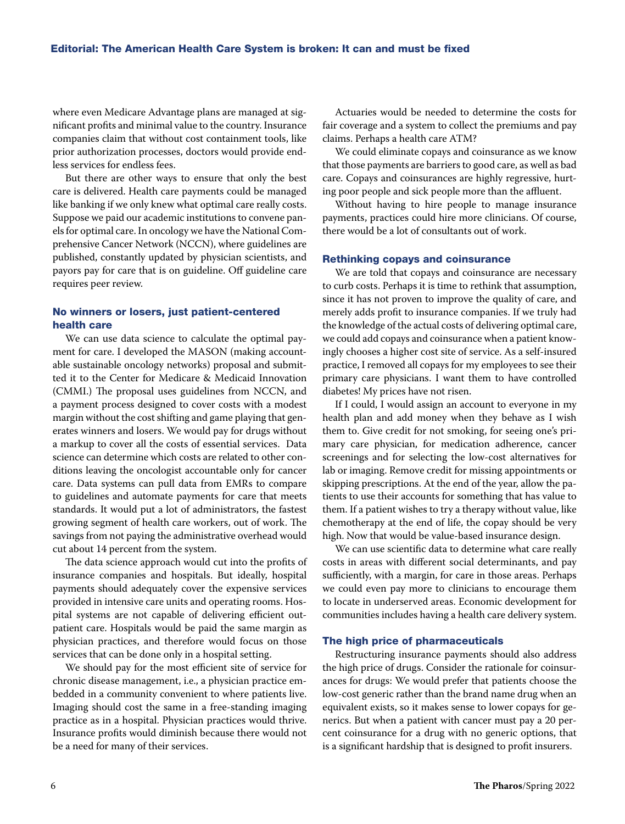where even Medicare Advantage plans are managed at significant profits and minimal value to the country. Insurance companies claim that without cost containment tools, like prior authorization processes, doctors would provide endless services for endless fees.

But there are other ways to ensure that only the best care is delivered. Health care payments could be managed like banking if we only knew what optimal care really costs. Suppose we paid our academic institutions to convene panels for optimal care. In oncology we have the National Comprehensive Cancer Network (NCCN), where guidelines are published, constantly updated by physician scientists, and payors pay for care that is on guideline. Off guideline care requires peer review.

## No winners or losers, just patient-centered health care

We can use data science to calculate the optimal payment for care. I developed the MASON (making accountable sustainable oncology networks) proposal and submitted it to the Center for Medicare & Medicaid Innovation (CMMI.) The proposal uses guidelines from NCCN, and a payment process designed to cover costs with a modest margin without the cost shifting and game playing that generates winners and losers. We would pay for drugs without a markup to cover all the costs of essential services. Data science can determine which costs are related to other conditions leaving the oncologist accountable only for cancer care. Data systems can pull data from EMRs to compare to guidelines and automate payments for care that meets standards. It would put a lot of administrators, the fastest growing segment of health care workers, out of work. The savings from not paying the administrative overhead would cut about 14 percent from the system.

The data science approach would cut into the profits of insurance companies and hospitals. But ideally, hospital payments should adequately cover the expensive services provided in intensive care units and operating rooms. Hospital systems are not capable of delivering efficient outpatient care. Hospitals would be paid the same margin as physician practices, and therefore would focus on those services that can be done only in a hospital setting.

We should pay for the most efficient site of service for chronic disease management, i.e., a physician practice embedded in a community convenient to where patients live. Imaging should cost the same in a free-standing imaging practice as in a hospital. Physician practices would thrive. Insurance profits would diminish because there would not be a need for many of their services.

Actuaries would be needed to determine the costs for fair coverage and a system to collect the premiums and pay claims. Perhaps a health care ATM?

We could eliminate copays and coinsurance as we know that those payments are barriers to good care, as well as bad care. Copays and coinsurances are highly regressive, hurting poor people and sick people more than the affluent.

Without having to hire people to manage insurance payments, practices could hire more clinicians. Of course, there would be a lot of consultants out of work.

## Rethinking copays and coinsurance

We are told that copays and coinsurance are necessary to curb costs. Perhaps it is time to rethink that assumption, since it has not proven to improve the quality of care, and merely adds profit to insurance companies. If we truly had the knowledge of the actual costs of delivering optimal care, we could add copays and coinsurance when a patient knowingly chooses a higher cost site of service. As a self-insured practice, I removed all copays for my employees to see their primary care physicians. I want them to have controlled diabetes! My prices have not risen.

If I could, I would assign an account to everyone in my health plan and add money when they behave as I wish them to. Give credit for not smoking, for seeing one's primary care physician, for medication adherence, cancer screenings and for selecting the low-cost alternatives for lab or imaging. Remove credit for missing appointments or skipping prescriptions. At the end of the year, allow the patients to use their accounts for something that has value to them. If a patient wishes to try a therapy without value, like chemotherapy at the end of life, the copay should be very high. Now that would be value-based insurance design.

We can use scientific data to determine what care really costs in areas with different social determinants, and pay sufficiently, with a margin, for care in those areas. Perhaps we could even pay more to clinicians to encourage them to locate in underserved areas. Economic development for communities includes having a health care delivery system.

#### The high price of pharmaceuticals

Restructuring insurance payments should also address the high price of drugs. Consider the rationale for coinsurances for drugs: We would prefer that patients choose the low-cost generic rather than the brand name drug when an equivalent exists, so it makes sense to lower copays for generics. But when a patient with cancer must pay a 20 percent coinsurance for a drug with no generic options, that is a significant hardship that is designed to profit insurers.